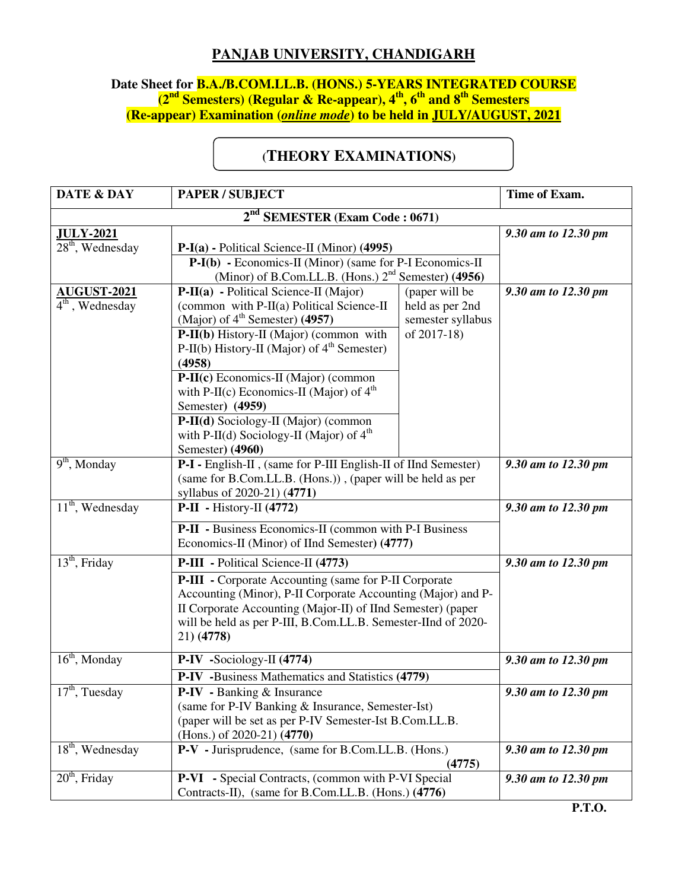## **PANJAB UNIVERSITY, CHANDIGARH**

## **Date Sheet for B.A./B.COM.LL.B. (HONS.) 5-YEARS INTEGRATED COURSE (2nd Semesters) (Regular & Re-appear), 4th, 6th and 8th Semesters (Re-appear) Examination (***online mode***) to be held in JULY/AUGUST, 2021**

## **(THEORY EXAMINATIONS)**

| <b>DATE &amp; DAY</b>                   | <b>PAPER / SUBJECT</b>                                                                                                                                                                                                                                                                                                                                                                                                                             |                                                                       | Time of Exam.       |
|-----------------------------------------|----------------------------------------------------------------------------------------------------------------------------------------------------------------------------------------------------------------------------------------------------------------------------------------------------------------------------------------------------------------------------------------------------------------------------------------------------|-----------------------------------------------------------------------|---------------------|
| $2nd$ SEMESTER (Exam Code: 0671)        |                                                                                                                                                                                                                                                                                                                                                                                                                                                    |                                                                       |                     |
| <b>JULY-2021</b><br>$28th$ , Wednesday  | $P-I(a)$ - Political Science-II (Minor) (4995)<br>$P-I(b)$ - Economics-II (Minor) (same for P-I Economics-II<br>(Minor) of B.Com.LL.B. (Hons.) 2 <sup>nd</sup> Semester) (4956)                                                                                                                                                                                                                                                                    |                                                                       | 9.30 am to 12.30 pm |
| <b>AUGUST-2021</b><br>$4th$ , Wednesday | P-II(a) - Political Science-II (Major)<br>(common with P-II(a) Political Science-II<br>(Major) of $4th$ Semester) (4957)<br>P-II(b) History-II (Major) (common with<br>P-II(b) History-II (Major) of $4th$ Semester)<br>(4958)<br>P-II(c) Economics-II (Major) (common<br>with P-II(c) Economics-II (Major) of $4th$<br>Semester) (4959)<br>P-II(d) Sociology-II (Major) (common<br>with P-II(d) Sociology-II (Major) of $4th$<br>Semester) (4960) | (paper will be<br>held as per 2nd<br>semester syllabus<br>of 2017-18) | 9.30 am to 12.30 pm |
| $\overline{9^{th}}$ , Monday            | P-I - English-II, (same for P-III English-II of IInd Semester)<br>(same for B.Com.LL.B. (Hons.)), (paper will be held as per<br>syllabus of 2020-21) (4771)                                                                                                                                                                                                                                                                                        |                                                                       | 9.30 am to 12.30 pm |
| $11th$ , Wednesday                      | $P-II - History-II (4772)$<br><b>P-II</b> - Business Economics-II (common with P-I Business<br>Economics-II (Minor) of IInd Semester) (4777)                                                                                                                                                                                                                                                                                                       |                                                                       | 9.30 am to 12.30 pm |
| $13th$ , Friday                         | P-III - Political Science-II (4773)<br><b>P-III</b> - Corporate Accounting (same for P-II Corporate<br>Accounting (Minor), P-II Corporate Accounting (Major) and P-<br>II Corporate Accounting (Major-II) of IInd Semester) (paper<br>will be held as per P-III, B.Com.LL.B. Semester-IInd of 2020-<br>21) (4778)                                                                                                                                  |                                                                       | 9.30 am to 12.30 pm |
| $16th$ , Monday                         | $P-IV -Sociology-II (4774)$<br>P-IV -Business Mathematics and Statistics (4779)                                                                                                                                                                                                                                                                                                                                                                    |                                                                       | 9.30 am to 12.30 pm |
| $17th$ , Tuesday                        | <b>P-IV</b> - Banking & Insurance<br>(same for P-IV Banking & Insurance, Semester-Ist)<br>(paper will be set as per P-IV Semester-Ist B.Com.LL.B.<br>(Hons.) of $2020-21$ ) $(4770)$                                                                                                                                                                                                                                                               |                                                                       | 9.30 am to 12.30 pm |
| $18th$ , Wednesday                      | P-V - Jurisprudence, (same for B.Com.LL.B. (Hons.)<br>(4775)                                                                                                                                                                                                                                                                                                                                                                                       |                                                                       | 9.30 am to 12.30 pm |
| $20th$ , Friday                         | <b>P-VI</b> - Special Contracts, (common with P-VI Special<br>Contracts-II), (same for B.Com.LL.B. (Hons.) (4776)                                                                                                                                                                                                                                                                                                                                  |                                                                       | 9.30 am to 12.30 pm |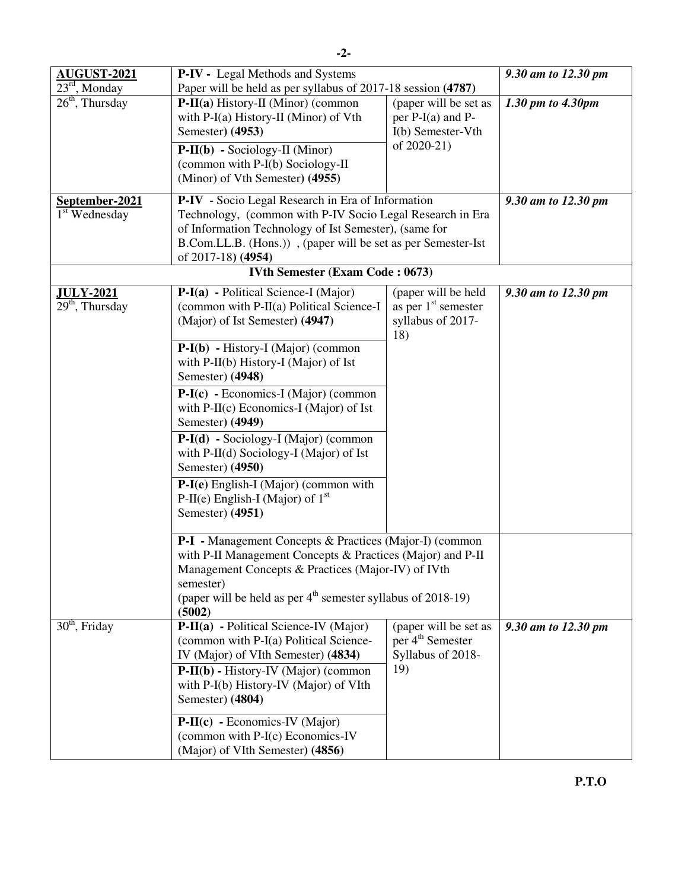| <b>AUGUST-2021</b>                              | <b>P-IV</b> - Legal Methods and Systems                                                                                                                                                                                                                                                                  |                                                                                        | 9.30 am to 12.30 pm |
|-------------------------------------------------|----------------------------------------------------------------------------------------------------------------------------------------------------------------------------------------------------------------------------------------------------------------------------------------------------------|----------------------------------------------------------------------------------------|---------------------|
| $23rd$ , Monday                                 | Paper will be held as per syllabus of 2017-18 session (4787)                                                                                                                                                                                                                                             |                                                                                        |                     |
| $26th$ , Thursday                               | P-II(a) History-II (Minor) (common<br>with $P-I(a)$ History-II (Minor) of Vth<br>Semester) (4953)<br>$P-II(b) - Sociology-II (Minor)$<br>(common with P-I(b) Sociology-II<br>(Minor) of Vth Semester) (4955)                                                                                             | (paper will be set as<br>per $P-I(a)$ and $P-I(a)$<br>I(b) Semester-Vth<br>of 2020-21) | 1.30 pm to 4.30pm   |
| September-2021                                  | P-IV - Socio Legal Research in Era of Information                                                                                                                                                                                                                                                        |                                                                                        | 9.30 am to 12.30 pm |
| 1 <sup>st</sup> Wednesday                       | Technology, (common with P-IV Socio Legal Research in Era<br>of Information Technology of Ist Semester), (same for<br>B.Com.LL.B. (Hons.)), (paper will be set as per Semester-Ist<br>of 2017-18) (4954)                                                                                                 |                                                                                        |                     |
|                                                 | <b>IVth Semester (Exam Code: 0673)</b>                                                                                                                                                                                                                                                                   |                                                                                        |                     |
| <u>JULY-2021</u><br>29 <sup>th</sup> , Thursday | P-I(a) - Political Science-I (Major)<br>(common with P-II(a) Political Science-I<br>(Major) of Ist Semester) (4947)                                                                                                                                                                                      | (paper will be held<br>as per $1st$ semester<br>syllabus of 2017-<br>18)               | 9.30 am to 12.30 pm |
|                                                 | $P-I(b)$ - History-I (Major) (common<br>with $P-II(b)$ History-I (Major) of Ist<br>Semester) (4948)                                                                                                                                                                                                      |                                                                                        |                     |
|                                                 | $P-I(c)$ - Economics-I (Major) (common<br>with $P-II(c)$ Economics-I (Major) of Ist<br>Semester) (4949)                                                                                                                                                                                                  |                                                                                        |                     |
|                                                 | $P-I(d)$ - Sociology-I (Major) (common<br>with $P-II(d)$ Sociology-I (Major) of Ist<br>Semester) (4950)                                                                                                                                                                                                  |                                                                                        |                     |
|                                                 | P-I(e) English-I (Major) (common with<br>P-II(e) English-I (Major) of $1st$<br>Semester) (4951)                                                                                                                                                                                                          |                                                                                        |                     |
|                                                 | <b>P-I</b> - Management Concepts & Practices (Major-I) (common                                                                                                                                                                                                                                           |                                                                                        |                     |
|                                                 | with P-II Management Concepts & Practices (Major) and P-II<br>Management Concepts & Practices (Major-IV) of IVth<br>semester)<br>(paper will be held as per $4th$ semester syllabus of 2018-19)<br>(5002)                                                                                                |                                                                                        |                     |
| $30th$ , Friday                                 | P-II(a) - Political Science-IV (Major)<br>(common with P-I(a) Political Science-<br>IV (Major) of VIth Semester) (4834)<br>$P-II(b) - History-IV (Major) (common)$<br>with P-I(b) History-IV (Major) of VIth<br>Semester) (4804)<br>$P-II(c)$ - Economics-IV (Major)<br>(common with P-I(c) Economics-IV | (paper will be set as<br>per 4 <sup>th</sup> Semester<br>Syllabus of 2018-<br>19)      | 9.30 am to 12.30 pm |
|                                                 | (Major) of VIth Semester) (4856)                                                                                                                                                                                                                                                                         |                                                                                        |                     |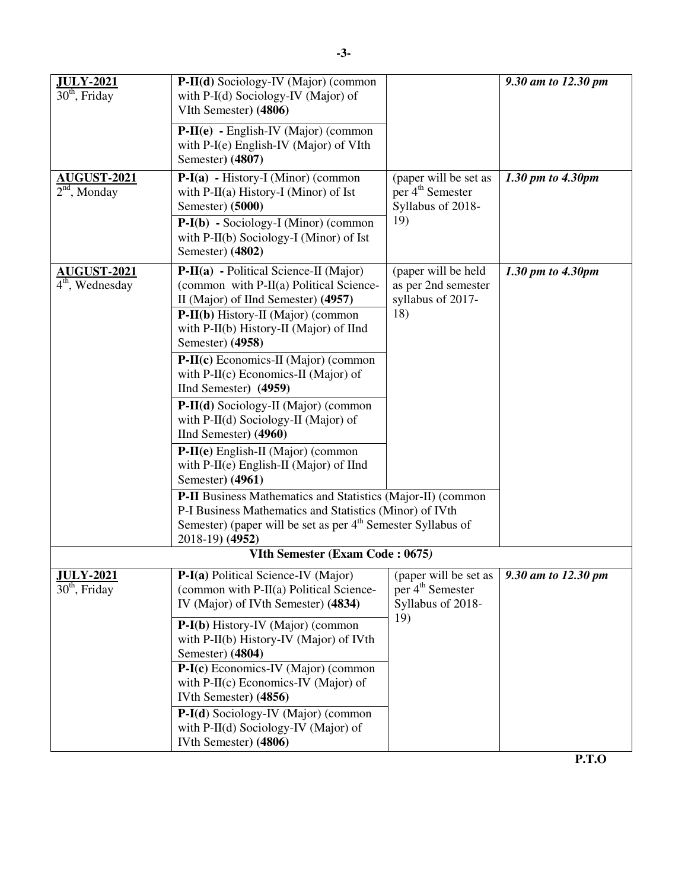| <b>JULY-2021</b><br>$30th$ , Friday            | P-II(d) Sociology-IV (Major) (common<br>with P-I(d) Sociology-IV (Major) of<br>VIth Semester) (4806)<br>$P-II(e) - English-IV (Major) (common)$<br>with P-I(e) English-IV (Major) of VIth<br>Semester) (4807)                                                                                                                                                                                                                                                                                                                                                                                                                                                                                                                                                  |                                                                                   | 9.30 am to 12.30 pm |
|------------------------------------------------|----------------------------------------------------------------------------------------------------------------------------------------------------------------------------------------------------------------------------------------------------------------------------------------------------------------------------------------------------------------------------------------------------------------------------------------------------------------------------------------------------------------------------------------------------------------------------------------------------------------------------------------------------------------------------------------------------------------------------------------------------------------|-----------------------------------------------------------------------------------|---------------------|
| <b>AUGUST-2021</b><br>$2nd$ , Monday           | $P-I(a) - History-I (Minor) (common)$<br>with $P-II(a) History-I (Minor) of Ist$<br>Semester) (5000)<br>$P-I(b)$ - Sociology-I (Minor) (common<br>with P-II(b) Sociology-I (Minor) of Ist<br>Semester) (4802)                                                                                                                                                                                                                                                                                                                                                                                                                                                                                                                                                  | (paper will be set as<br>per 4 <sup>th</sup> Semester<br>Syllabus of 2018-<br>19) | 1.30 pm to 4.30pm   |
| AUGUST-2021<br>$\overline{4^{th}}$ , Wednesday | P-II(a) - Political Science-II (Major)<br>(common with P-II(a) Political Science-<br>II (Major) of IInd Semester) (4957)<br>$P-II(b)$ History-II (Major) (common<br>with P-II(b) History-II (Major) of IInd<br>Semester) (4958)<br>P-II(c) Economics-II (Major) (common<br>with $P-II(c)$ Economics-II (Major) of<br>IInd Semester) (4959)<br>P-II(d) Sociology-II (Major) (common<br>with P-II(d) Sociology-II (Major) of<br>IInd Semester) (4960)<br>P-II(e) English-II (Major) (common<br>with P-II(e) English-II (Major) of IInd<br>Semester) (4961)<br>P-II Business Mathematics and Statistics (Major-II) (common<br>P-I Business Mathematics and Statistics (Minor) of IVth<br>Semester) (paper will be set as per 4 <sup>th</sup> Semester Syllabus of | (paper will be held<br>as per 2nd semester<br>syllabus of 2017-<br>18)            | 1.30 pm to 4.30pm   |
|                                                | 2018-19) (4952)<br>VIth Semester (Exam Code: 0675)                                                                                                                                                                                                                                                                                                                                                                                                                                                                                                                                                                                                                                                                                                             |                                                                                   |                     |
| <b>JULY-2021</b>                               | P-I(a) Political Science-IV (Major)                                                                                                                                                                                                                                                                                                                                                                                                                                                                                                                                                                                                                                                                                                                            | (paper will be set as                                                             | 9.30 am to 12.30 pm |
| $30th$ , Friday                                | (common with P-II(a) Political Science-<br>IV (Major) of IVth Semester) (4834)                                                                                                                                                                                                                                                                                                                                                                                                                                                                                                                                                                                                                                                                                 | per 4 <sup>th</sup> Semester<br>Syllabus of 2018-<br>19)                          |                     |
|                                                | $P-I(b)$ History-IV (Major) (common<br>with P-II(b) History-IV (Major) of IVth<br>Semester) (4804)<br>P-I(c) Economics-IV (Major) (common<br>with $P-II(c)$ Economics-IV (Major) of<br>IVth Semester) (4856)                                                                                                                                                                                                                                                                                                                                                                                                                                                                                                                                                   |                                                                                   |                     |
|                                                | P-I(d) Sociology-IV (Major) (common<br>with P-II(d) Sociology-IV (Major) of<br>IVth Semester) (4806)                                                                                                                                                                                                                                                                                                                                                                                                                                                                                                                                                                                                                                                           |                                                                                   |                     |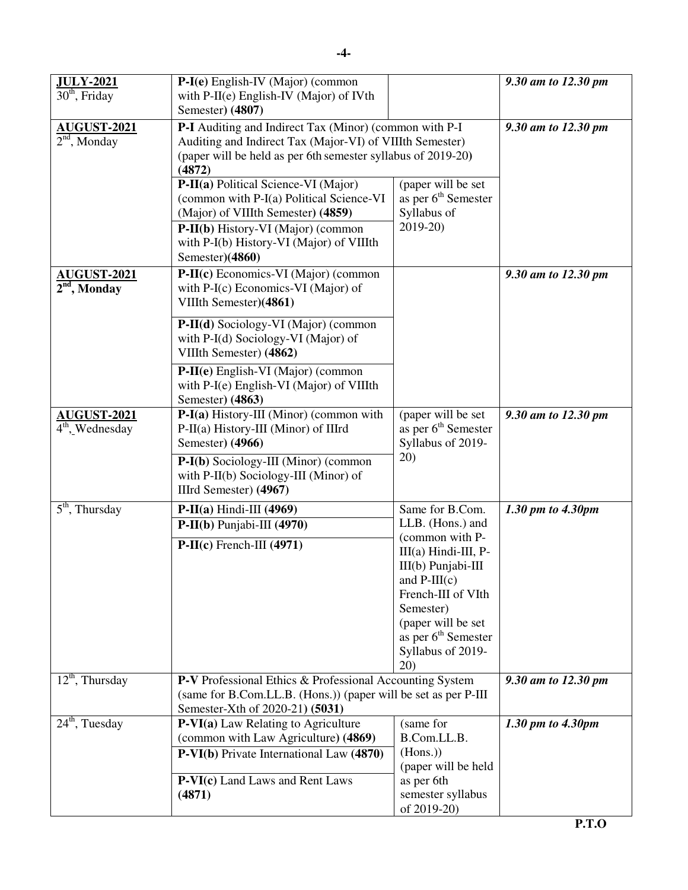| <b>JULY-2021</b>                        | P-I(e) English-IV (Major) (common                                                                                                                                                            |                                                                                  | 9.30 am to 12.30 pm |
|-----------------------------------------|----------------------------------------------------------------------------------------------------------------------------------------------------------------------------------------------|----------------------------------------------------------------------------------|---------------------|
| $30th$ , Friday                         | with $P-II(e)$ English-IV (Major) of IVth                                                                                                                                                    |                                                                                  |                     |
|                                         | Semester) (4807)                                                                                                                                                                             |                                                                                  |                     |
| AUGUST-2021<br>$2nd$ , Monday           | P-I Auditing and Indirect Tax (Minor) (common with P-I<br>Auditing and Indirect Tax (Major-VI) of VIIIth Semester)<br>(paper will be held as per 6th semester syllabus of 2019-20)<br>(4872) |                                                                                  | 9.30 am to 12.30 pm |
|                                         | P-II(a) Political Science-VI (Major)<br>(common with P-I(a) Political Science-VI<br>(Major) of VIIIth Semester) (4859)<br>P-II(b) History-VI (Major) (common                                 | (paper will be set<br>as per 6 <sup>th</sup> Semester<br>Syllabus of<br>2019-20) |                     |
|                                         | with P-I(b) History-VI (Major) of VIIIth<br>Semester)(4860)                                                                                                                                  |                                                                                  |                     |
| <b>AUGUST-2021</b><br>$2nd$ , Monday    | P-II(c) Economics-VI (Major) (common<br>with P-I(c) Economics-VI (Major) of<br>VIIIth Semester)(4861)                                                                                        |                                                                                  | 9.30 am to 12.30 pm |
|                                         | P-II(d) Sociology-VI (Major) (common<br>with P-I(d) Sociology-VI (Major) of<br>VIIIth Semester) (4862)                                                                                       |                                                                                  |                     |
|                                         | P-II(e) English-VI (Major) (common<br>with P-I(e) English-VI (Major) of VIIIth<br>Semester) (4863)                                                                                           |                                                                                  |                     |
| <b>AUGUST-2021</b><br>$4th$ , Wednesday | P-I(a) History-III (Minor) (common with<br>P-II(a) History-III (Minor) of IIIrd<br>Semester) (4966)                                                                                          | (paper will be set<br>as per 6 <sup>th</sup> Semester<br>Syllabus of 2019-       | 9.30 am to 12.30 pm |
|                                         | P-I(b) Sociology-III (Minor) (common<br>with P-II(b) Sociology-III (Minor) of<br>IIIrd Semester) (4967)                                                                                      | 20)                                                                              |                     |
| $\overline{5}^{\text{th}}$ , Thursday   | $P-II(a) Hindi-III (4969)$                                                                                                                                                                   | Same for B.Com.                                                                  | 1.30 pm to 4.30pm   |
|                                         | $P-II(b) Puniabi-III$ (4970)                                                                                                                                                                 | LLB. (Hons.) and                                                                 |                     |
|                                         | $P-II(c)$ French-III (4971)                                                                                                                                                                  | (common with P-<br>III(a) Hindi-III, P-                                          |                     |
|                                         |                                                                                                                                                                                              | III(b) Punjabi-III                                                               |                     |
|                                         |                                                                                                                                                                                              | and $P-III(c)$                                                                   |                     |
|                                         |                                                                                                                                                                                              | French-III of VIth                                                               |                     |
|                                         |                                                                                                                                                                                              | Semester)                                                                        |                     |
|                                         |                                                                                                                                                                                              | (paper will be set<br>as per 6 <sup>th</sup> Semester                            |                     |
|                                         |                                                                                                                                                                                              | Syllabus of 2019-<br>20)                                                         |                     |
| $12th$ , Thursday                       | P-V Professional Ethics & Professional Accounting System<br>(same for B.Com.LL.B. (Hons.)) (paper will be set as per P-III                                                                   |                                                                                  | 9.30 am to 12.30 pm |
| $24th$ , Tuesday                        | Semester-Xth of 2020-21) (5031)<br>(same for                                                                                                                                                 |                                                                                  | 1.30 pm to 4.30pm   |
|                                         | P-VI(a) Law Relating to Agriculture<br>(common with Law Agriculture) (4869)                                                                                                                  | B.Com.LL.B.                                                                      |                     |
|                                         | P-VI(b) Private International Law (4870)                                                                                                                                                     | (Hons.)                                                                          |                     |
|                                         |                                                                                                                                                                                              | (paper will be held                                                              |                     |
|                                         | P-VI(c) Land Laws and Rent Laws                                                                                                                                                              | as per 6th                                                                       |                     |
|                                         | (4871)                                                                                                                                                                                       | semester syllabus<br>of 2019-20)                                                 |                     |